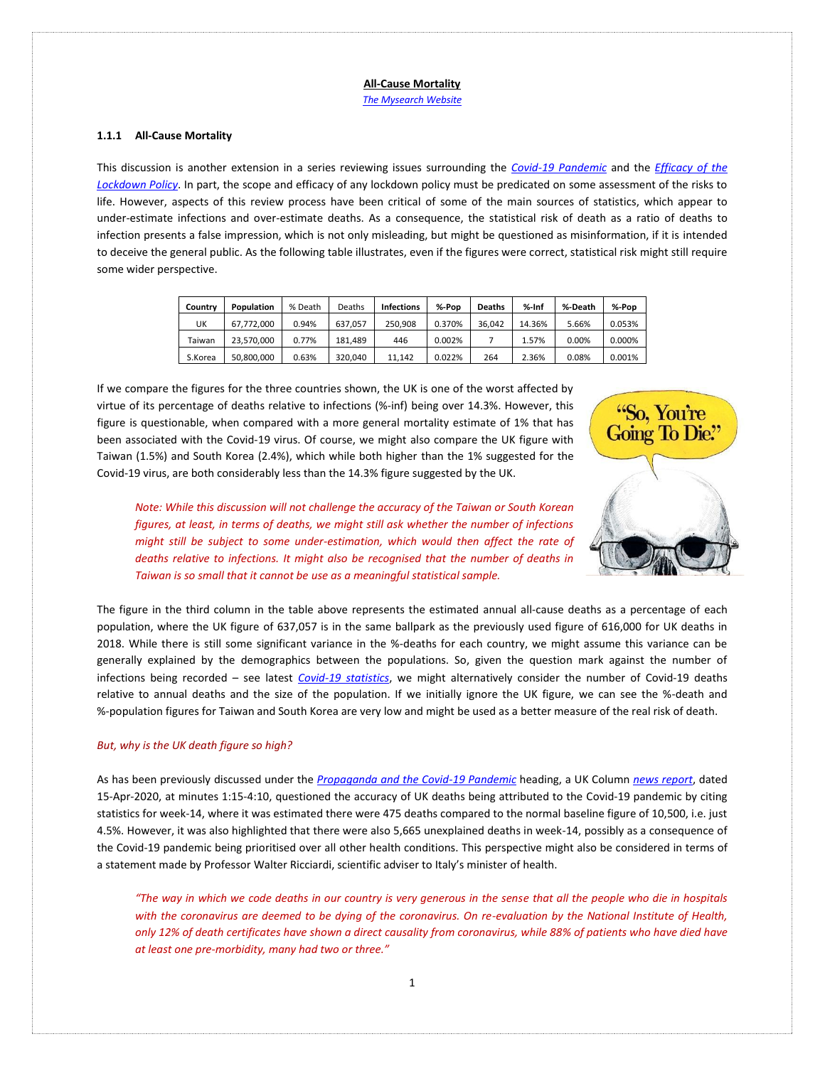*[The Mysearch Website](http://www.mysearch.org.uk/)*

## **1.1.1 All-Cause Mortality**

This discussion is another extension in a series reviewing issues surrounding the *[Covid-19 Pandemic](http://www.mysearch.org.uk/website4/html/22.Covid19.html)* and the *[Efficacy of the](http://www.mysearch.org.uk/website4/html/24.Lockdown.html)  [Lockdown Policy](http://www.mysearch.org.uk/website4/html/24.Lockdown.html)*. In part, the scope and efficacy of any lockdown policy must be predicated on some assessment of the risks to life. However, aspects of this review process have been critical of some of the main sources of statistics, which appear to under-estimate infections and over-estimate deaths. As a consequence, the statistical risk of death as a ratio of deaths to infection presents a false impression, which is not only misleading, but might be questioned as misinformation, if it is intended to deceive the general public. As the following table illustrates, even if the figures were correct, statistical risk might still require some wider perspective.

| Country | Population | % Death | Deaths  | Infections | %-Pop  | <b>Deaths</b> | $%$ -Inf | %-Death | %-Pop  |
|---------|------------|---------|---------|------------|--------|---------------|----------|---------|--------|
| UK      | 67.772.000 | 0.94%   | 637.057 | 250.908    | 0.370% | 36.042        | 14.36%   | 5.66%   | 0.053% |
| Taiwan  | 23.570.000 | 0.77%   | 181.489 | 446        | 0.002% |               | 1.57%    | 0.00%   | 0.000% |
| S.Korea | 50.800.000 | 0.63%   | 320.040 | 11.142     | 0.022% | 264           | 2.36%    | 0.08%   | 0.001% |

If we compare the figures for the three countries shown, the UK is one of the worst affected by virtue of its percentage of deaths relative to infections (%-inf) being over 14.3%. However, this figure is questionable, when compared with a more general mortality estimate of 1% that has been associated with the Covid-19 virus. Of course, we might also compare the UK figure with Taiwan (1.5%) and South Korea (2.4%), which while both higher than the 1% suggested for the Covid-19 virus, are both considerably less than the 14.3% figure suggested by the UK.



*Note: While this discussion will not challenge the accuracy of the Taiwan or South Korean figures, at least, in terms of deaths, we might still ask whether the number of infections might still be subject to some under-estimation, which would then affect the rate of deaths relative to infections. It might also be recognised that the number of deaths in Taiwan is so small that it cannot be use as a meaningful statistical sample.* 

The figure in the third column in the table above represents the estimated annual all-cause deaths as a percentage of each population, where the UK figure of 637,057 is in the same ballpark as the previously used figure of 616,000 for UK deaths in 2018. While there is still some significant variance in the %-deaths for each country, we might assume this variance can be generally explained by the demographics between the populations. So, given the question mark against the number of infections being recorded – see latest *[Covid-19 statistics](https://virusncov.com/)*, we might alternatively consider the number of Covid-19 deaths relative to annual deaths and the size of the population. If we initially ignore the UK figure, we can see the %-death and %-population figures for Taiwan and South Korea are very low and might be used as a better measure of the real risk of death.

## *But, why is the UK death figure so high?*

As has been previously discussed under the *[Propaganda and the Covid-19 Pandemic](http://www.mysearch.org.uk/website4/html/23.Propaganda.html#Covid-19_Propaganda)* heading, a UK Column *[news report](https://www.youtube.com/watch?v=C3ldtVWKlQI)*, dated 15-Apr-2020, at minutes 1:15-4:10, questioned the accuracy of UK deaths being attributed to the Covid-19 pandemic by citing statistics for week-14, where it was estimated there were 475 deaths compared to the normal baseline figure of 10,500, i.e. just 4.5%. However, it was also highlighted that there were also 5,665 unexplained deaths in week-14, possibly as a consequence of the Covid-19 pandemic being prioritised over all other health conditions. This perspective might also be considered in terms of a statement made by Professor Walter Ricciardi, scientific adviser to Italy's minister of health.

*"The way in which we code deaths in our country is very generous in the sense that all the people who die in hospitals with the coronavirus are deemed to be dying of the coronavirus. On re-evaluation by the National Institute of Health, only 12% of death certificates have shown a direct causality from coronavirus, while 88% of patients who have died have at least one pre-morbidity, many had two or three."*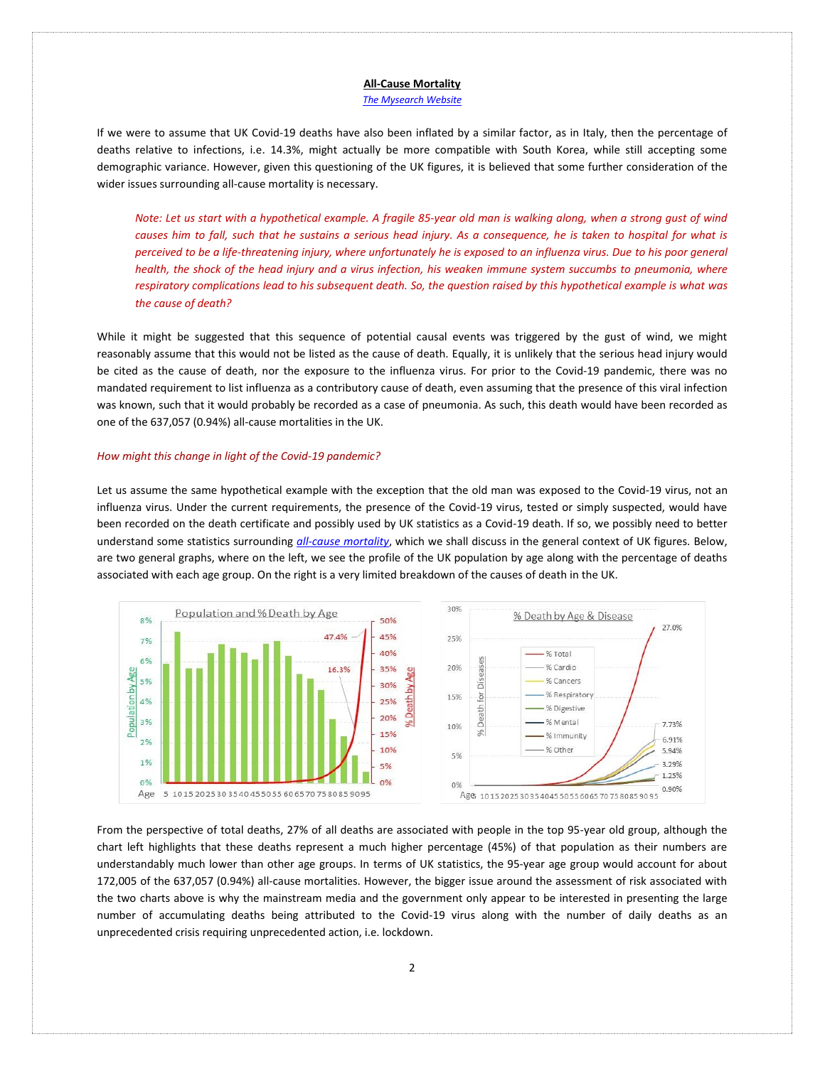### *[The Mysearch Website](http://www.mysearch.org.uk/)*

If we were to assume that UK Covid-19 deaths have also been inflated by a similar factor, as in Italy, then the percentage of deaths relative to infections, i.e. 14.3%, might actually be more compatible with South Korea, while still accepting some demographic variance. However, given this questioning of the UK figures, it is believed that some further consideration of the wider issues surrounding all-cause mortality is necessary.

*Note: Let us start with a hypothetical example. A fragile 85-year old man is walking along, when a strong gust of wind causes him to fall, such that he sustains a serious head injury. As a consequence, he is taken to hospital for what is perceived to be a life-threatening injury, where unfortunately he is exposed to an influenza virus. Due to his poor general health, the shock of the head injury and a virus infection, his weaken immune system succumbs to pneumonia, where respiratory complications lead to his subsequent death. So, the question raised by this hypothetical example is what was the cause of death?*

While it might be suggested that this sequence of potential causal events was triggered by the gust of wind, we might reasonably assume that this would not be listed as the cause of death. Equally, it is unlikely that the serious head injury would be cited as the cause of death, nor the exposure to the influenza virus. For prior to the Covid-19 pandemic, there was no mandated requirement to list influenza as a contributory cause of death, even assuming that the presence of this viral infection was known, such that it would probably be recorded as a case of pneumonia. As such, this death would have been recorded as one of the 637,057 (0.94%) all-cause mortalities in the UK.

### *How might this change in light of the Covid-19 pandemic?*

Let us assume the same hypothetical example with the exception that the old man was exposed to the Covid-19 virus, not an influenza virus. Under the current requirements, the presence of the Covid-19 virus, tested or simply suspected, would have been recorded on the death certificate and possibly used by UK statistics as a Covid-19 death. If so, we possibly need to better understand some statistics surrounding *[all-cause mortality](https://en.wikipedia.org/wiki/Mortality_rate)*, which we shall discuss in the general context of UK figures. Below, are two general graphs, where on the left, we see the profile of the UK population by age along with the percentage of deaths associated with each age group. On the right is a very limited breakdown of the causes of death in the UK.



From the perspective of total deaths, 27% of all deaths are associated with people in the top 95-year old group, although the chart left highlights that these deaths represent a much higher percentage (45%) of that population as their numbers are understandably much lower than other age groups. In terms of UK statistics, the 95-year age group would account for about 172,005 of the 637,057 (0.94%) all-cause mortalities. However, the bigger issue around the assessment of risk associated with the two charts above is why the mainstream media and the government only appear to be interested in presenting the large number of accumulating deaths being attributed to the Covid-19 virus along with the number of daily deaths as an unprecedented crisis requiring unprecedented action, i.e. lockdown.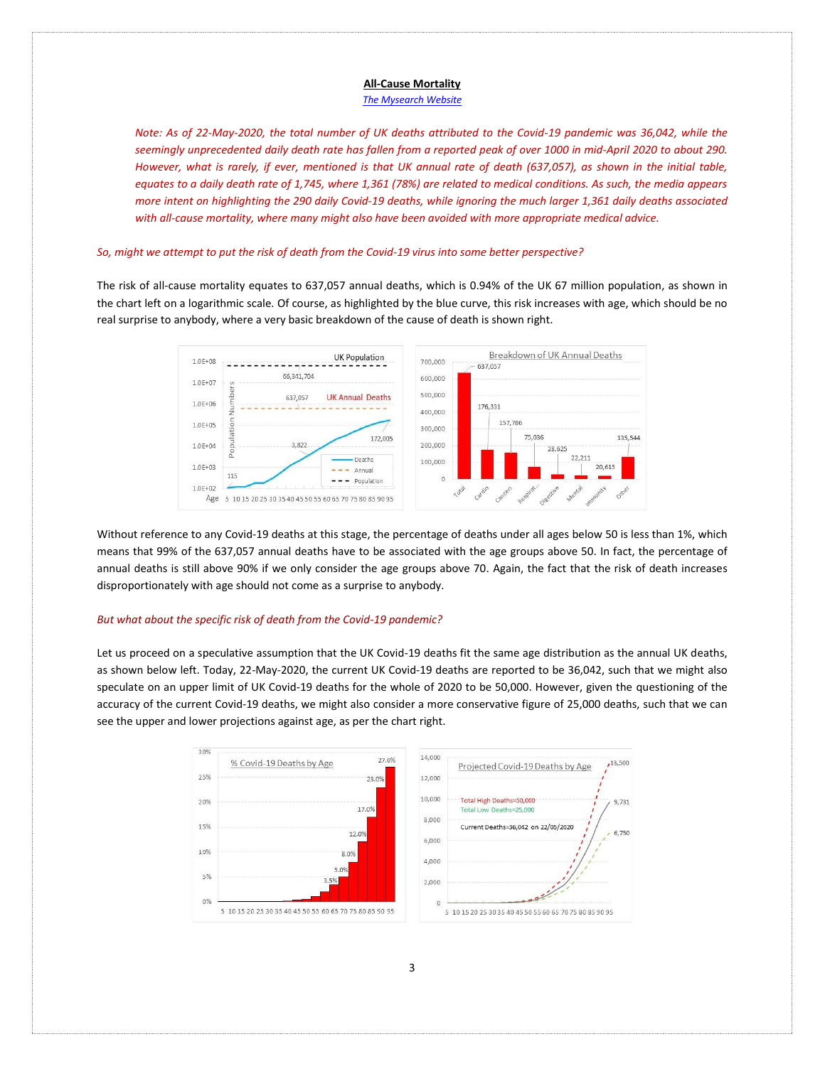#### *[The Mysearch Website](http://www.mysearch.org.uk/)*

*Note: As of 22-May-2020, the total number of UK deaths attributed to the Covid-19 pandemic was 36,042, while the seemingly unprecedented daily death rate has fallen from a reported peak of over 1000 in mid-April 2020 to about 290. However, what is rarely, if ever, mentioned is that UK annual rate of death (637,057), as shown in the initial table, equates to a daily death rate of 1,745, where 1,361 (78%) are related to medical conditions. As such, the media appears more intent on highlighting the 290 daily Covid-19 deaths, while ignoring the much larger 1,361 daily deaths associated with all-cause mortality, where many might also have been avoided with more appropriate medical advice.* 

# *So, might we attempt to put the risk of death from the Covid-19 virus into some better perspective?*

The risk of all-cause mortality equates to 637,057 annual deaths, which is 0.94% of the UK 67 million population, as shown in the chart left on a logarithmic scale. Of course, as highlighted by the blue curve, this risk increases with age, which should be no real surprise to anybody, where a very basic breakdown of the cause of death is shown right.



Without reference to any Covid-19 deaths at this stage, the percentage of deaths under all ages below 50 is less than 1%, which means that 99% of the 637,057 annual deaths have to be associated with the age groups above 50. In fact, the percentage of annual deaths is still above 90% if we only consider the age groups above 70. Again, the fact that the risk of death increases disproportionately with age should not come as a surprise to anybody.

# *But what about the specific risk of death from the Covid-19 pandemic?*

Let us proceed on a speculative assumption that the UK Covid-19 deaths fit the same age distribution as the annual UK deaths, as shown below left. Today, 22-May-2020, the current UK Covid-19 deaths are reported to be 36,042, such that we might also speculate on an upper limit of UK Covid-19 deaths for the whole of 2020 to be 50,000. However, given the questioning of the accuracy of the current Covid-19 deaths, we might also consider a more conservative figure of 25,000 deaths, such that we can see the upper and lower projections against age, as per the chart right.

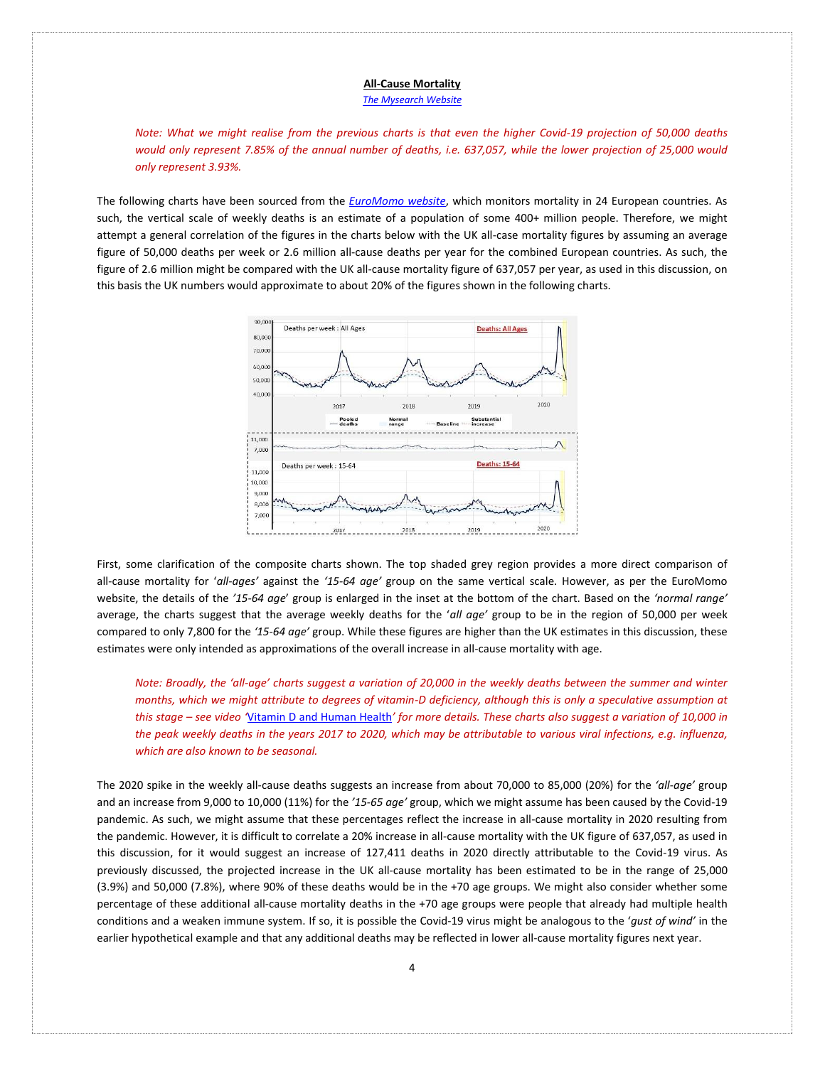#### *[The Mysearch Website](http://www.mysearch.org.uk/)*

*Note: What we might realise from the previous charts is that even the higher Covid-19 projection of 50,000 deaths would only represent 7.85% of the annual number of deaths, i.e. 637,057, while the lower projection of 25,000 would only represent 3.93%.*

The following charts have been sourced from the *[EuroMomo website](https://www.euromomo.eu/graphs-and-maps)*, which monitors mortality in 24 European countries. As such, the vertical scale of weekly deaths is an estimate of a population of some 400+ million people. Therefore, we might attempt a general correlation of the figures in the charts below with the UK all-case mortality figures by assuming an average figure of 50,000 deaths per week or 2.6 million all-cause deaths per year for the combined European countries. As such, the figure of 2.6 million might be compared with the UK all-cause mortality figure of 637,057 per year, as used in this discussion, on this basis the UK numbers would approximate to about 20% of the figures shown in the following charts.



First, some clarification of the composite charts shown. The top shaded grey region provides a more direct comparison of all-cause mortality for '*all-ages'* against the *'15-64 age'* group on the same vertical scale. However, as per the EuroMomo website, the details of the *'15-64 age*' group is enlarged in the inset at the bottom of the chart. Based on the *'normal range'* average, the charts suggest that the average weekly deaths for the '*all age'* group to be in the region of 50,000 per week compared to only 7,800 for the *'15-64 age'* group. While these figures are higher than the UK estimates in this discussion, these estimates were only intended as approximations of the overall increase in all-cause mortality with age.

*Note: Broadly, the 'all-age' charts suggest a variation of 20,000 in the weekly deaths between the summer and winter months, which we might attribute to degrees of vitamin-D deficiency, although this is only a speculative assumption at this stage – see video '*[Vitamin D and Human Health](https://www.youtube.com/watch?v=72SiVOMjHJI)*' for more details. These charts also suggest a variation of 10,000 in the peak weekly deaths in the years 2017 to 2020, which may be attributable to various viral infections, e.g. influenza, which are also known to be seasonal.* 

The 2020 spike in the weekly all-cause deaths suggests an increase from about 70,000 to 85,000 (20%) for the *'all-age'* group and an increase from 9,000 to 10,000 (11%) for the *'15-65 age'* group, which we might assume has been caused by the Covid-19 pandemic. As such, we might assume that these percentages reflect the increase in all-cause mortality in 2020 resulting from the pandemic. However, it is difficult to correlate a 20% increase in all-cause mortality with the UK figure of 637,057, as used in this discussion, for it would suggest an increase of 127,411 deaths in 2020 directly attributable to the Covid-19 virus. As previously discussed, the projected increase in the UK all-cause mortality has been estimated to be in the range of 25,000 (3.9%) and 50,000 (7.8%), where 90% of these deaths would be in the +70 age groups. We might also consider whether some percentage of these additional all-cause mortality deaths in the +70 age groups were people that already had multiple health conditions and a weaken immune system. If so, it is possible the Covid-19 virus might be analogous to the '*gust of wind'* in the earlier hypothetical example and that any additional deaths may be reflected in lower all-cause mortality figures next year.